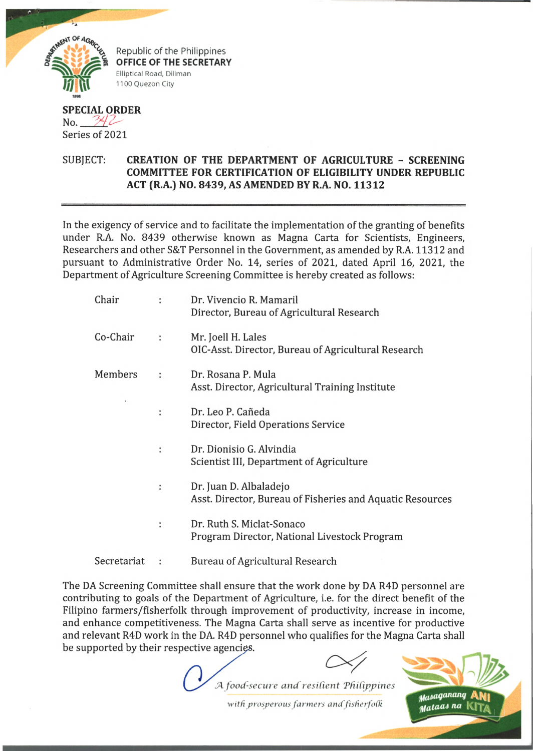

Republic of the Philippines OFFICE OF THE SECRETARY Elliptical Road, Diliman 1100 Quezon City

## **SPECIAL ORDER**  $No. 742$ Series of 2021

## SUBJECT: **CREATION OF THE DEPARTMENT OF AGRICULTURE - SCREENING COMMITTEE FOR CERTIFICATION OF ELIGIBILITY UNDER REPUBLIC ACT (R.A.) NO. 8439, AS AMENDED BY R.A. NO. 11312**

In the exigency of service and to facilitate the implementation of the granting of benefits under R.A. No. 8439 otherwise known as Magna Carta for Scientists, Engineers, Researchers and other S&T Personnel in the Government, as amended by R.A. 11312 and pursuant to Administrative Order No. 14, series of 2021, dated April 16, 2021, the Department of Agriculture Screening Committee is hereby created as follows:

| Chair       |   | Dr. Vivencio R. Mamaril<br>Director, Bureau of Agricultural Research                |
|-------------|---|-------------------------------------------------------------------------------------|
| Co-Chair    | ÷ | Mr. Joell H. Lales<br>OIC-Asst. Director, Bureau of Agricultural Research           |
| Members     |   | Dr. Rosana P. Mula<br>Asst. Director, Agricultural Training Institute               |
|             | t | Dr. Leo P. Cañeda<br>Director, Field Operations Service                             |
|             | ÷ | Dr. Dionisio G. Alvindia<br>Scientist III, Department of Agriculture                |
|             | ÷ | Dr. Juan D. Albaladejo<br>Asst. Director, Bureau of Fisheries and Aquatic Resources |
|             | ÷ | Dr. Ruth S. Miclat-Sonaco<br>Program Director, National Livestock Program           |
| Secretariat |   | <b>Bureau of Agricultural Research</b>                                              |

The DA Screening Committee shall ensure that the work done by DA R4D personnel are contributing to goals of the Department of Agriculture, i.e. for the direct benefit of the Filipino farmers/fisherfolk through improvement of productivity, increase in income, and enhance competitiveness. The Magna Carta shall serve as incentive for productive and relevant R4D work in the DA. R4D personnel who qualifies for the Magna Carta shall be supported by their respective agencies.

*.A food-secure and resilient 'Philippines*

*with prosperous farmers and fisherfolk*

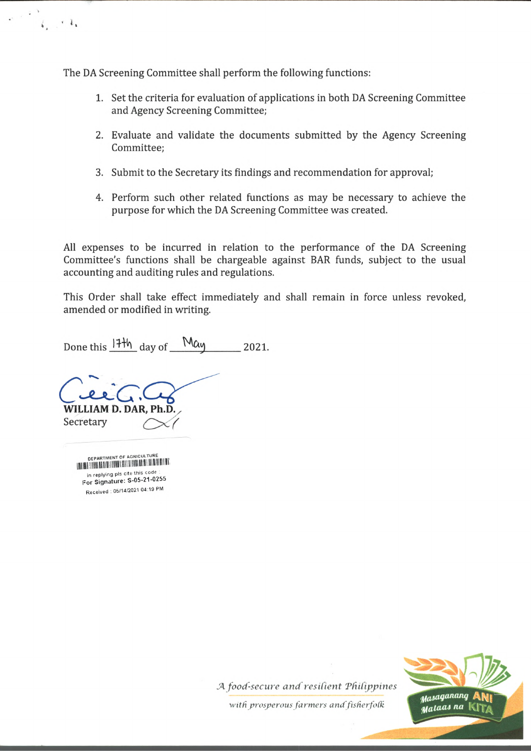The DA Screening Committee shall perform the following functions:

- 1. Set the criteria for evaluation of applications in both DA Screening Committee and Agency Screening Committee;
- 2. Evaluate and validate the documents submitted by the Agency Screening Committee;
- 3. Submit to the Secretary its findings and recommendation for approval;
- 4. Perform such other related functions as may be necessary to achieve the purpose for which the DA Screening Committee was created.

All expenses to be incurred in relation to the performance of the DA Screening Committee's functions shall be chargeable against BAR funds, subject to the usual accounting and auditing rules and regulations.

This Order shall take effect immediately and shall remain in force unless revoked, amended or modified in writing.

Done this  $17\frac{11}{11}$  day of May 2021.

**WILLIAM D. DAR, P.** Secretary

**DEPARTMENT OF AGRICULTURE** DEPARTMENT OF AGRICULTURE in replying pls cite this code in replying pis cite this court. Received : 06/14/2021 04:19 PM

 $i_1 + i_2$ 



*JA food-secure and resilient 'Philippines*

 $with$  prosperous farmers and fisherfolk